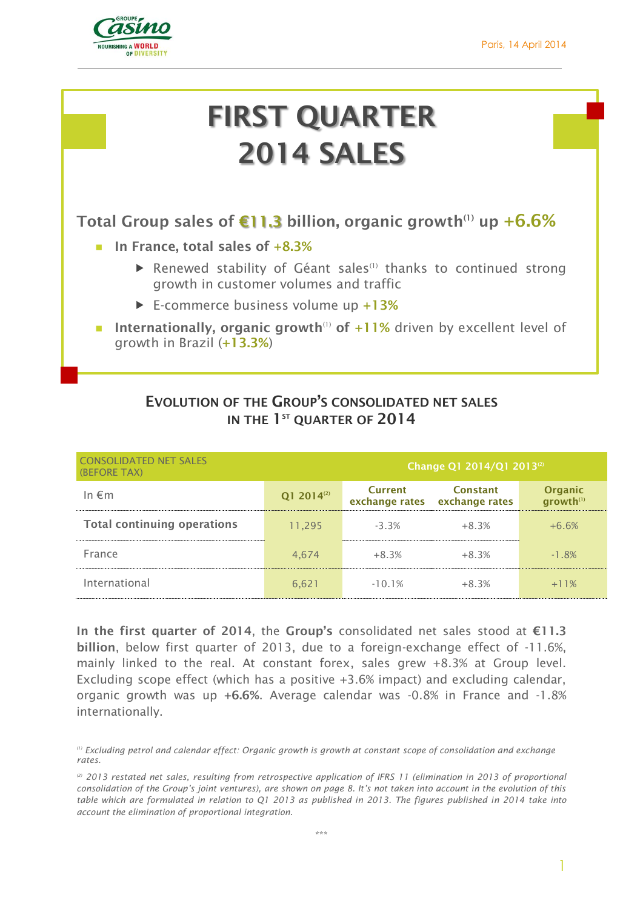

# **FIRST QUARTER 2014 SALES**

**Total Group sales of billion, organic growth(1) €11.3 up +6.6%**

- **In France, total sales of +8.3%** 
	- Renewed stability of Géant sales<sup>(1)</sup> thanks to continued strong growth in customer volumes and traffic
	- E-commerce business volume up **+13%**
- Internationally, organic growth<sup>(1)</sup> of +11% driven by excellent level of growth in Brazil (**+13.3%**)

| <b>CONSOLIDATED NET SALES</b><br>(BEFORE TAX) | Change Q1 2014/Q1 2013 <sup>(2)</sup> |                |                                                  |                                         |
|-----------------------------------------------|---------------------------------------|----------------|--------------------------------------------------|-----------------------------------------|
| In $\notin$ m                                 | Q1 2014 <sup>(2)</sup>                | <b>Current</b> | <b>Constant</b><br>exchange rates exchange rates | <b>Organic</b><br>growth <sup>(1)</sup> |
| <b>Total continuing operations</b>            | 11,295                                | $-3.3%$        | $+8.3%$                                          | $+6.6%$                                 |
| France                                        | 4,674                                 | $+8.3%$        | $+8.3%$                                          | $-1.8%$                                 |
| International                                 | 6,621                                 | $-10.1%$       | $+8.3%$                                          | $+11%$                                  |

## **EVOLUTION OF THE GROUP'S CONSOLIDATED NET SALES IN THE 1 ST QUARTER OF 2014**

**In the first quarter of 2014**, the **Group's** consolidated net sales stood at **€11.3 billion**, below first quarter of 2013, due to a foreign-exchange effect of -11.6%, mainly linked to the real. At constant forex, sales grew +8.3% at Group level. Excluding scope effect (which has a positive +3.6% impact) and excluding calendar, organic growth was up **+6.6%**. Average calendar was -0.8% in France and -1.8% internationally.

*<sup>(1)</sup> Excluding petrol and calendar effect: Organic growth is growth at constant scope of consolidation and exchange rates.*

*<sup>(2)</sup> 2013 restated net sales, resulting from retrospective application of IFRS 11 (elimination in 2013 of proportional consolidation of the Group's joint ventures), are shown on page 8. It's not taken into account in the evolution of this table which are formulated in relation to Q1 2013 as published in 2013. The figures published in 2014 take into account the elimination of proportional integration.*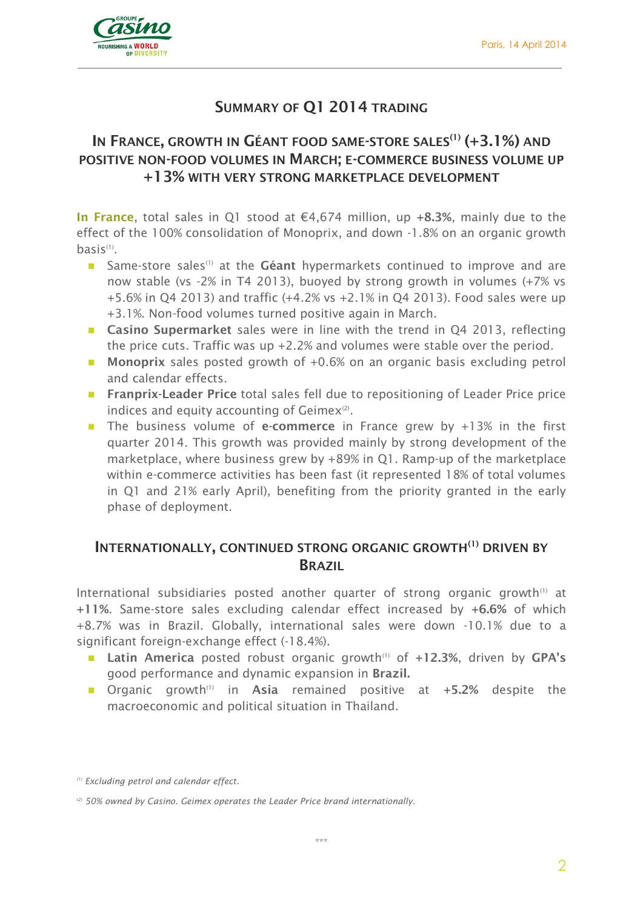

## **SUMMARY OF Q1 2014 TRADING**

## **IN FRANCE, GROWTH IN GÉANT FOOD SAME-STORE SALES(1) (+3.1%) AND POSITIVE NON-FOOD VOLUMES IN MARCH; E-COMMERCE BUSINESS VOLUME UP +13% WITH VERY STRONG MARKETPLACE DEVELOPMENT**

**In France**, total sales in Q1 stood at €4,674 million, up **+8.3%**, mainly due to the effect of the 100% consolidation of Monoprix, and down -1.8% on an organic growth basis<sup>(1)</sup>.

- **Same-store sales<sup>(1)</sup>** at the Géant hypermarkets continued to improve and are now stable (vs -2% in T4 2013), buoyed by strong growth in volumes (+7% vs +5.6% in Q4 2013) and traffic (+4.2% vs +2.1% in Q4 2013). Food sales were up +3.1%. Non-food volumes turned positive again in March.
- **Casino Supermarket** sales were in line with the trend in Q4 2013, reflecting the price cuts. Traffic was up +2.2% and volumes were stable over the period.
- **Monoprix** sales posted growth of +0.6% on an organic basis excluding petrol and calendar effects.
- **Franprix-Leader Price** total sales fell due to repositioning of Leader Price price indices and equity accounting of Geimex $(2)$ .
- **The business volume of e-commerce** in France grew by +13% in the first quarter 2014. This growth was provided mainly by strong development of the marketplace, where business grew by +89% in Q1. Ramp-up of the marketplace within e-commerce activities has been fast (it represented 18% of total volumes in Q1 and 21% early April), benefiting from the priority granted in the early phase of deployment.

## **INTERNATIONALLY, CONTINUED STRONG ORGANIC GROWTH(1) DRIVEN BY BRAZIL**

International subsidiaries posted another quarter of strong organic growth $(1)$  at **+11%**. Same-store sales excluding calendar effect increased by **+6.6%** of which +8.7% was in Brazil. Globally, international sales were down -10.1% due to a significant foreign-exchange effect (-18.4%).

- **E** Latin America posted robust organic growth<sup>(1)</sup> of +12.3%, driven by GPA's good performance and dynamic expansion in **Brazil.**
- **n** Organic growth<sup>(1)</sup> in Asia remained positive at +5.2% despite the macroeconomic and political situation in Thailand.

*<sup>(1)</sup> Excluding petrol and calendar effect.*

*<sup>(2)</sup> 50% owned by Casino. Geimex operates the Leader Price brand internationally.*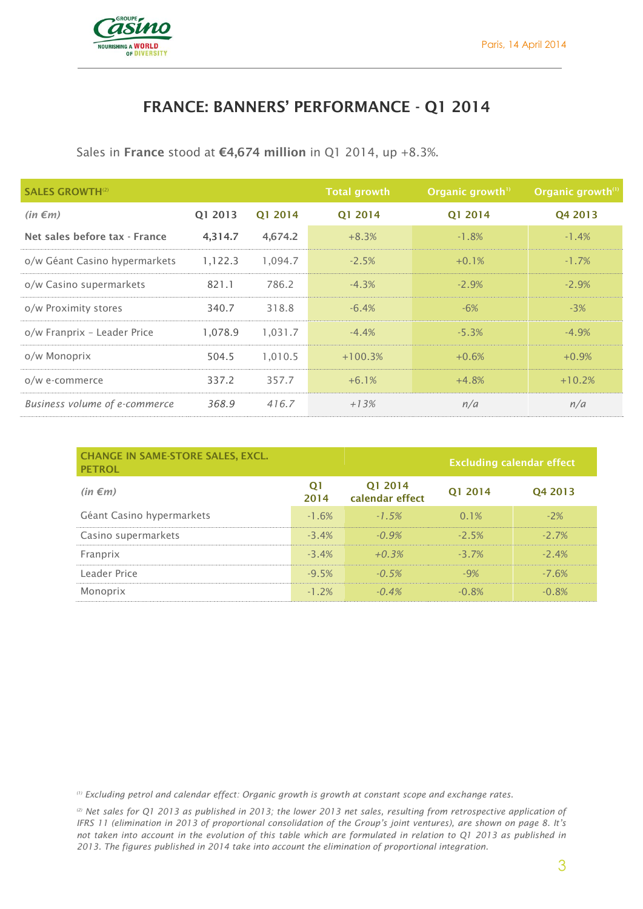

## **FRANCE: BANNERS' PERFORMANCE - Q1 2014**

Sales in **France** stood at **€4,674 million** in Q1 2014, up +8.3%.

| <b>SALES GROWTH<sup>(2)</sup></b> |         |         | <b>Total growth</b> | Organic growth <sup>11</sup> | Organic growth <sup>(1)</sup> |
|-----------------------------------|---------|---------|---------------------|------------------------------|-------------------------------|
| $(in \in m)$                      | Q1 2013 | Q1 2014 | Q1 2014             | 01 2014                      | Q4 2013                       |
| Net sales before tax - France     | 4,314.7 | 4,674.2 | $+8.3%$             | $-1.8%$                      | $-1.4%$                       |
| o/w Géant Casino hypermarkets     | 1,122.3 | 1,094.7 | $-2.5%$             | $+0.1%$                      | $-1.7%$                       |
| o/w Casino supermarkets           | 821.1   | 786.2   | $-4.3%$             | $-2.9%$                      | $-2.9%$                       |
| o/w Proximity stores              | 340.7   | 318.8   | $-6.4%$             | $-6%$                        | $-3%$                         |
| o/w Franprix - Leader Price       | 1.078.9 | 1,031.7 | $-4.4%$             | $-5.3%$                      | $-4.9%$                       |
| o/w Monoprix                      | 504.5   | 1,010.5 | $+100.3%$           | $+0.6%$                      | $+0.9%$                       |
| o/w e-commerce                    | 337.2   | 357.7   | $+6.1%$             | $+4.8%$                      | $+10.2%$                      |
| Business volume of e-commerce     | 368.9   | 416.7   | $+13%$              | n/a                          | n/a                           |

| <b>CHANGE IN SAME-STORE SALES, EXCL.</b><br><b>PETROL</b> |                        |                            | <b>Excluding calendar effect</b> |          |
|-----------------------------------------------------------|------------------------|----------------------------|----------------------------------|----------|
| $(in \in m)$                                              | O <sub>1</sub><br>2014 | Q1 2014<br>calendar effect | Q1 2014                          | Q4 2013  |
| Géant Casino hypermarkets                                 | $-1.6%$                | $-1.5%$                    | $0.1\%$                          | $-2%$    |
| Casino supermarkets                                       | $-3.4%$                | $-0.9\%$                   | $-25%$                           | $-27\%$  |
| Franprix                                                  | $-3.4%$                | $+0.3%$                    | $-37\%$                          | $-24%$   |
| Leader Price                                              | $-9.5%$                | $-0.5%$                    | $-9%$                            | $-7.6%$  |
| Monoprix                                                  | $-1, 2\%$              | $-0.4\%$                   | $-0.8\%$                         | $-0.8\%$ |

*(1) Excluding petrol and calendar effect: Organic growth is growth at constant scope and exchange rates.*

*(2) Net sales for Q1 2013 as published in 2013; the lower 2013 net sales, resulting from retrospective application of IFRS 11 (elimination in 2013 of proportional consolidation of the Group's joint ventures), are shown on page 8. It's not taken into account in the evolution of this table which are formulated in relation to Q1 2013 as published in 2013. The figures published in 2014 take into account the elimination of proportional integration.*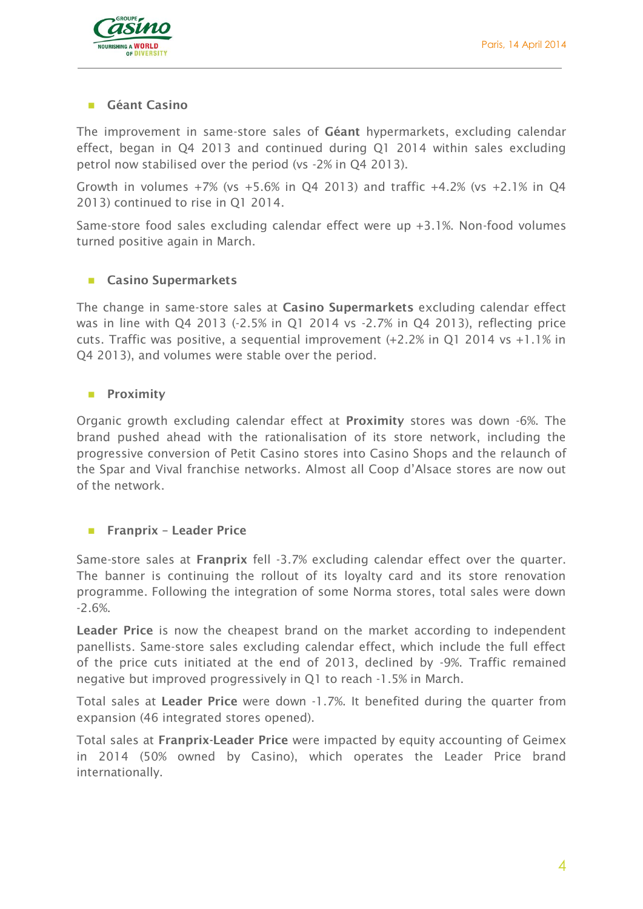

#### **Géant Casino**

The improvement in same-store sales of **Géant** hypermarkets, excluding calendar effect, began in Q4 2013 and continued during Q1 2014 within sales excluding petrol now stabilised over the period (vs -2% in Q4 2013).

Growth in volumes  $+7\%$  (vs  $+5.6\%$  in Q4 2013) and traffic  $+4.2\%$  (vs  $+2.1\%$  in Q4 2013) continued to rise in Q1 2014.

Same-store food sales excluding calendar effect were up +3.1%. Non-food volumes turned positive again in March.

#### **Casino Supermarkets**

The change in same-store sales at **Casino Supermarkets** excluding calendar effect was in line with Q4 2013 (-2.5% in Q1 2014 vs -2.7% in Q4 2013), reflecting price cuts. Traffic was positive, a sequential improvement (+2.2% in Q1 2014 vs +1.1% in Q4 2013), and volumes were stable over the period.

#### **Proximity**

Organic growth excluding calendar effect at **Proximity** stores was down -6%. The brand pushed ahead with the rationalisation of its store network, including the progressive conversion of Petit Casino stores into Casino Shops and the relaunch of the Spar and Vival franchise networks. Almost all Coop d'Alsace stores are now out of the network.

#### **Franprix – Leader Price**

Same-store sales at **Franprix** fell -3.7% excluding calendar effect over the quarter. The banner is continuing the rollout of its loyalty card and its store renovation programme. Following the integration of some Norma stores, total sales were down -2.6%.

**Leader Price** is now the cheapest brand on the market according to independent panellists. Same-store sales excluding calendar effect, which include the full effect of the price cuts initiated at the end of 2013, declined by -9%. Traffic remained negative but improved progressively in Q1 to reach -1.5% in March.

Total sales at **Leader Price** were down -1.7%. It benefited during the quarter from expansion (46 integrated stores opened).

Total sales at **Franprix-Leader Price** were impacted by equity accounting of Geimex in 2014 (50% owned by Casino), which operates the Leader Price brand internationally.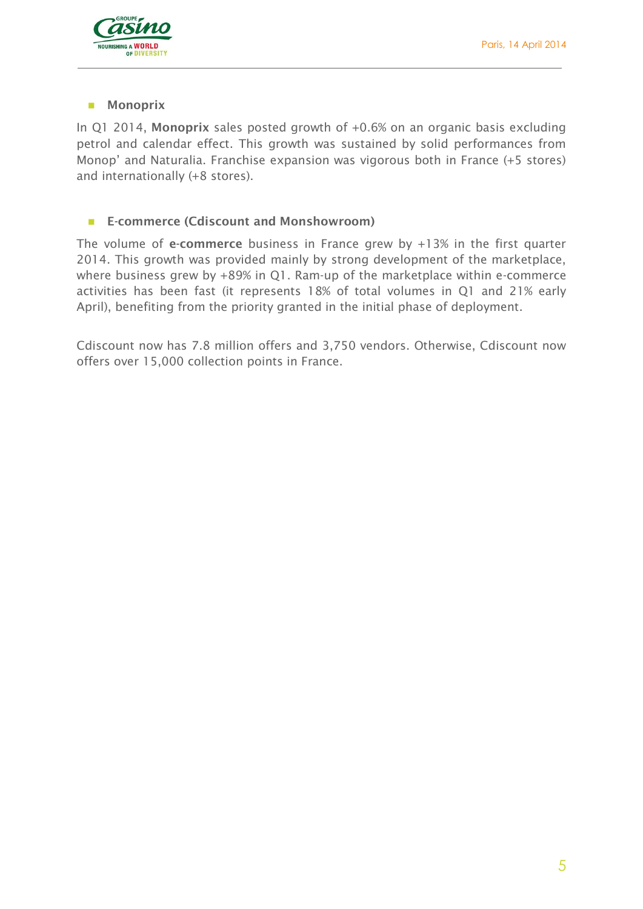

#### **Monoprix**

In Q1 2014, **Monoprix** sales posted growth of +0.6% on an organic basis excluding petrol and calendar effect. This growth was sustained by solid performances from Monop' and Naturalia. Franchise expansion was vigorous both in France (+5 stores) and internationally (+8 stores).

#### **E-commerce (Cdiscount and Monshowroom)**

The volume of **e-commerce** business in France grew by +13% in the first quarter 2014. This growth was provided mainly by strong development of the marketplace, where business grew by +89% in Q1. Ram-up of the marketplace within e-commerce activities has been fast (it represents 18% of total volumes in Q1 and 21% early April), benefiting from the priority granted in the initial phase of deployment.

Cdiscount now has 7.8 million offers and 3,750 vendors. Otherwise, Cdiscount now offers over 15,000 collection points in France.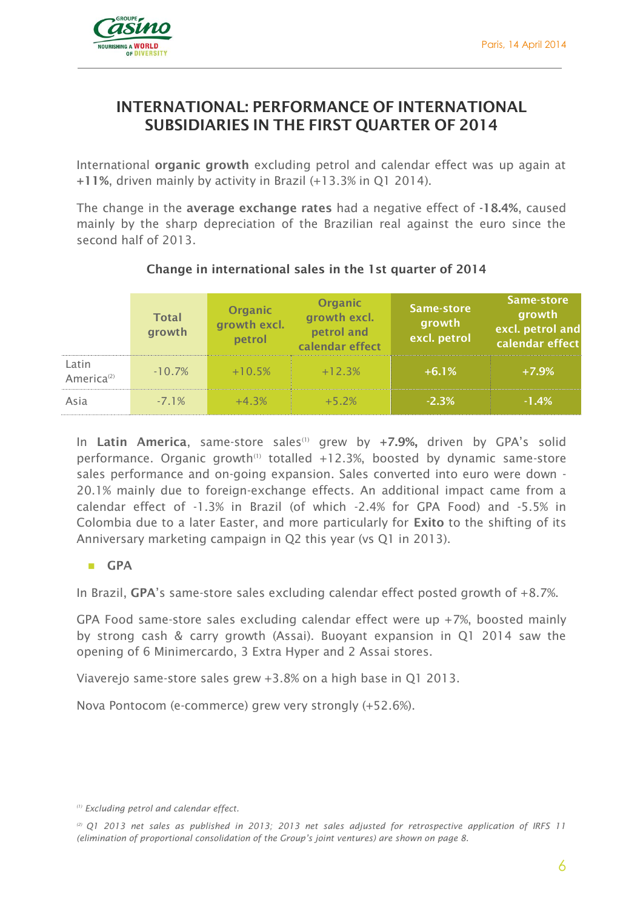

## **INTERNATIONAL: PERFORMANCE OF INTERNATIONAL SUBSIDIARIES IN THE FIRST QUARTER OF 2014**

International **organic growth** excluding petrol and calendar effect was up again at **+11%**, driven mainly by activity in Brazil (+13.3% in Q1 2014).

The change in the **average exchange rates** had a negative effect of **-18.4%**, caused mainly by the sharp depreciation of the Brazilian real against the euro since the second half of 2013.

|                                 | <b>Total</b><br>growth | Organic<br>growth excl.<br>petrol | Organic<br>growth excl.<br>petrol and<br>calendar effect | Same-store<br>growth<br>excl. petrol | Same-store<br>growth<br>excl. petrol and<br>calendar effect |
|---------------------------------|------------------------|-----------------------------------|----------------------------------------------------------|--------------------------------------|-------------------------------------------------------------|
| Latin<br>America <sup>(2)</sup> | $-10.7%$               | $+10.5%$                          | $+12.3%$                                                 | $+6.1%$                              | $+7.9%$                                                     |
| Asia                            | $-7.1%$                | $+4.3%$                           | $+5.2%$                                                  | $-2.3%$                              | $-1.4%$                                                     |

## **Change in international sales in the 1st quarter of 2014**

In Latin America, same-store sales<sup>(1)</sup> grew by +7.9%, driven by GPA's solid performance. Organic growth<sup>(1)</sup> totalled  $+12.3%$ , boosted by dynamic same-store sales performance and on-going expansion. Sales converted into euro were down - 20.1% mainly due to foreign-exchange effects. An additional impact came from a calendar effect of -1.3% in Brazil (of which -2.4% for GPA Food) and -5.5% in Colombia due to a later Easter, and more particularly for **Exito** to the shifting of its Anniversary marketing campaign in Q2 this year (vs Q1 in 2013).

#### **GPA**

In Brazil, **GPA**'s same-store sales excluding calendar effect posted growth of +8.7%.

GPA Food same-store sales excluding calendar effect were up +7%, boosted mainly by strong cash & carry growth (Assai). Buoyant expansion in Q1 2014 saw the opening of 6 Minimercardo, 3 Extra Hyper and 2 Assai stores.

Viaverejo same-store sales grew +3.8% on a high base in Q1 2013.

Nova Pontocom (e-commerce) grew very strongly (+52.6%).

*<sup>(1)</sup> Excluding petrol and calendar effect.*

*<sup>(2)</sup> Q1 2013 net sales as published in 2013; 2013 net sales adjusted for retrospective application of IRFS 11 (elimination of proportional consolidation of the Group's joint ventures) are shown on page 8.*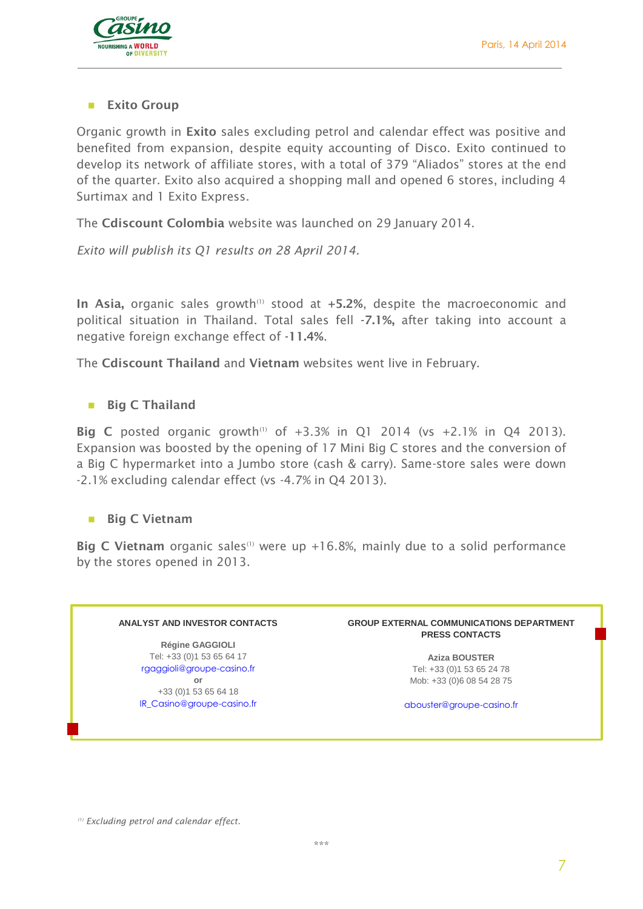

#### **Exito Group**

Organic growth in **Exito** sales excluding petrol and calendar effect was positive and benefited from expansion, despite equity accounting of Disco. Exito continued to develop its network of affiliate stores, with a total of 379 "Aliados" stores at the end of the quarter. Exito also acquired a shopping mall and opened 6 stores, including 4 Surtimax and 1 Exito Express.

The **Cdiscount Colombia** website was launched on 29 January 2014.

*Exito will publish its Q1 results on 28 April 2014.*

In Asia, organic sales growth<sup>(1)</sup> stood at +5.2%, despite the macroeconomic and political situation in Thailand. Total sales fell **-7.1%,** after taking into account a negative foreign exchange effect of **-11.4%**.

The **Cdiscount Thailand** and **Vietnam** websites went live in February.

#### **Big C Thailand**

**Big C** posted organic growth<sup>(1)</sup> of  $+3.3\%$  in Q1 2014 (vs  $+2.1\%$  in Q4 2013). Expansion was boosted by the opening of 17 Mini Big C stores and the conversion of a Big C hypermarket into a Jumbo store (cash & carry). Same-store sales were down -2.1% excluding calendar effect (vs -4.7% in Q4 2013).

#### **Big C Vietnam**

**Big C Vietnam** organic sales<sup>(1)</sup> were up +16.8%, mainly due to a solid performance by the stores opened in 2013.

#### **ANALYST AND INVESTOR CONTACTS**

**Régine GAGGIOLI** Tel: +33 (0)1 53 65 64 17 [rgaggioli@groupe-casino.fr](mailto:rgaggioli@groupe-casino.fr) **or**

+33 (0)1 53 65 64 18 [IR\\_Casino@groupe-casino.fr](mailto:IR_Casino@groupe-casino.fr)

#### **GROUP EXTERNAL COMMUNICATIONS DEPARTMENT PRESS CONTACTS**

**Aziza BOUSTER** Tel: +33 (0)1 53 65 24 78 Mob: +33 (0)6 08 54 28 75

[abouster@groupe-casino.fr](mailto:abouster@groupe-casino.fr)

*(1) Excluding petrol and calendar effect.*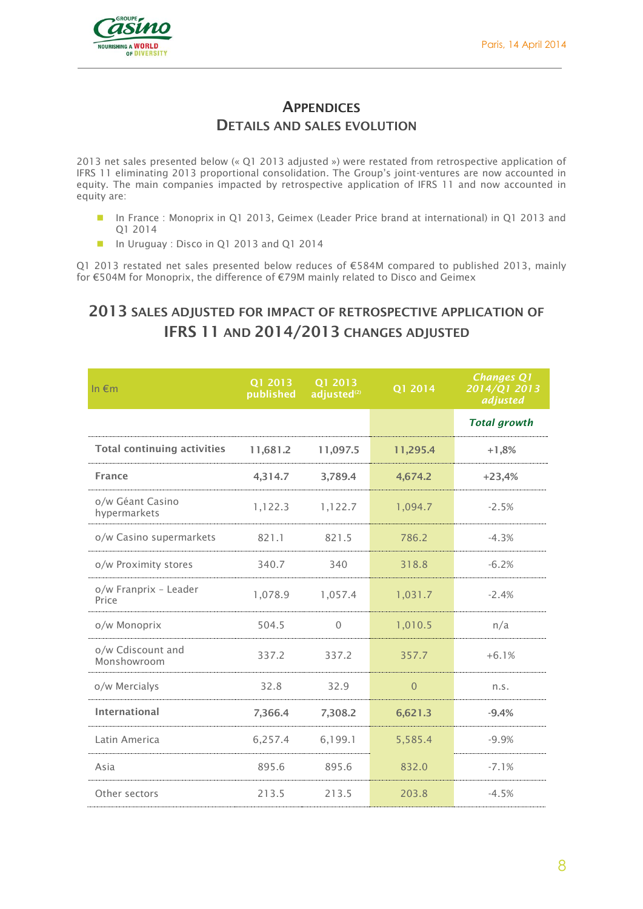

## **APPENDICES DETAILS AND SALES EVOLUTION**

2013 net sales presented below (« Q1 2013 adjusted ») were restated from retrospective application of IFRS 11 eliminating 2013 proportional consolidation. The Group's joint-ventures are now accounted in equity. The main companies impacted by retrospective application of IFRS 11 and now accounted in equity are:

- In France : Monoprix in Q1 2013, Geimex (Leader Price brand at international) in Q1 2013 and Q1 2014
- In Uruguay : Disco in Q1 2013 and Q1 2014

Q1 2013 restated net sales presented below reduces of €584M compared to published 2013, mainly for €504M for Monoprix, the difference of €79M mainly related to Disco and Geimex

# **2013 SALES ADJUSTED FOR IMPACT OF RETROSPECTIVE APPLICATION OF IFRS 11 AND 2014/2013 CHANGES ADJUSTED**

| In $\epsilon$ m                    | Q1 2013<br>published | Q1 2013<br>adjusted <sup>(2)</sup> | Q1 2014  | <b>Changes Q1</b><br>2014/Q1 2013<br>adjusted |
|------------------------------------|----------------------|------------------------------------|----------|-----------------------------------------------|
|                                    |                      |                                    |          | <b>Total growth</b>                           |
| <b>Total continuing activities</b> | 11,681.2             | 11,097.5                           | 11,295.4 | $+1,8%$                                       |
| <b>France</b>                      | 4,314.7              | 3,789.4                            | 4,674.2  | $+23,4%$                                      |
| o/w Géant Casino<br>hypermarkets   | 1,122.3              | 1,122.7                            | 1,094.7  | $-2.5%$                                       |
| o/w Casino supermarkets            | 821.1                | 821.5                              | 786.2    | $-4.3%$                                       |
| o/w Proximity stores               | 340.7                | 340                                | 318.8    | $-6.2%$                                       |
| o/w Franprix - Leader<br>Price     | 1,078.9              | 1,057.4                            | 1,031.7  | $-2.4%$                                       |
| o/w Monoprix                       | 504.5                | $\Omega$                           | 1,010.5  | n/a                                           |
| o/w Cdiscount and<br>Monshowroom   | 337.2                | 337.2                              | 357.7    | $+6.1%$                                       |
| o/w Mercialys                      | 32.8                 | 32.9                               | $\Omega$ | n.S.                                          |
| International                      | 7,366.4              | 7,308.2                            | 6,621.3  | $-9.4%$                                       |
| Latin America                      | 6,257.4              | 6,199.1                            | 5,585.4  | $-9.9%$                                       |
| Asia                               | 895.6                | 895.6                              | 832.0    | $-7.1%$                                       |
| Other sectors                      | 213.5                | 213.5                              | 203.8    | $-4.5%$                                       |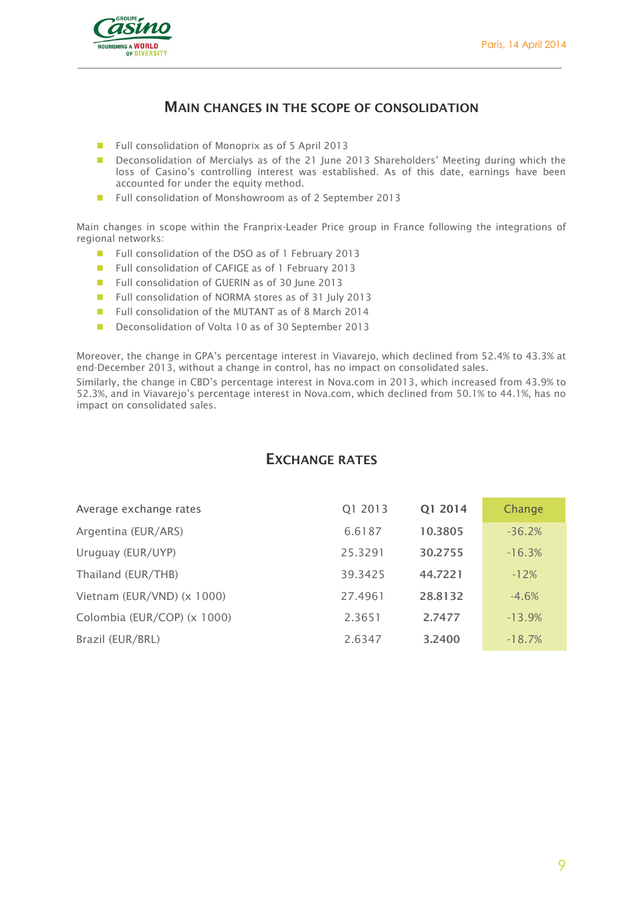

## **MAIN CHANGES IN THE SCOPE OF CONSOLIDATION**

- Full consolidation of Monoprix as of 5 April 2013
- **Deconsolidation of Mercialys as of the 21 June 2013 Shareholders' Meeting during which the** loss of Casino's controlling interest was established. As of this date, earnings have been accounted for under the equity method.
- Full consolidation of Monshowroom as of 2 September 2013

Main changes in scope within the Franprix-Leader Price group in France following the integrations of regional networks:

- Full consolidation of the DSO as of 1 February 2013
- Full consolidation of CAFIGE as of 1 February 2013
- Full consolidation of GUERIN as of 30 June 2013
- Full consolidation of NORMA stores as of 31 July 2013
- Full consolidation of the MUTANT as of 8 March 2014
- Deconsolidation of Volta 10 as of 30 September 2013

Moreover, the change in GPA's percentage interest in Viavarejo, which declined from 52.4% to 43.3% at end-December 2013, without a change in control, has no impact on consolidated sales.

Similarly, the change in CBD's percentage interest in Nova.com in 2013, which increased from 43.9% to 52.3%, and in Viavarejo's percentage interest in Nova.com, which declined from 50.1% to 44.1%, has no impact on consolidated sales.

#### **EXCHANGE RATES**

| Average exchange rates      | Q1 2013 | Q1 2014 | Change   |
|-----------------------------|---------|---------|----------|
| Argentina (EUR/ARS)         | 6.6187  | 10.3805 | $-36.2%$ |
| Uruguay (EUR/UYP)           | 25.3291 | 30.2755 | $-16.3%$ |
| Thailand (EUR/THB)          | 39.3425 | 44.7221 | $-12%$   |
| Vietnam (EUR/VND) (x 1000)  | 27.4961 | 28,8132 | $-4.6%$  |
| Colombia (EUR/COP) (x 1000) | 2.3651  | 2.7477  | $-13.9%$ |
| Brazil (EUR/BRL)            | 2.6347  | 3.2400  | $-18.7%$ |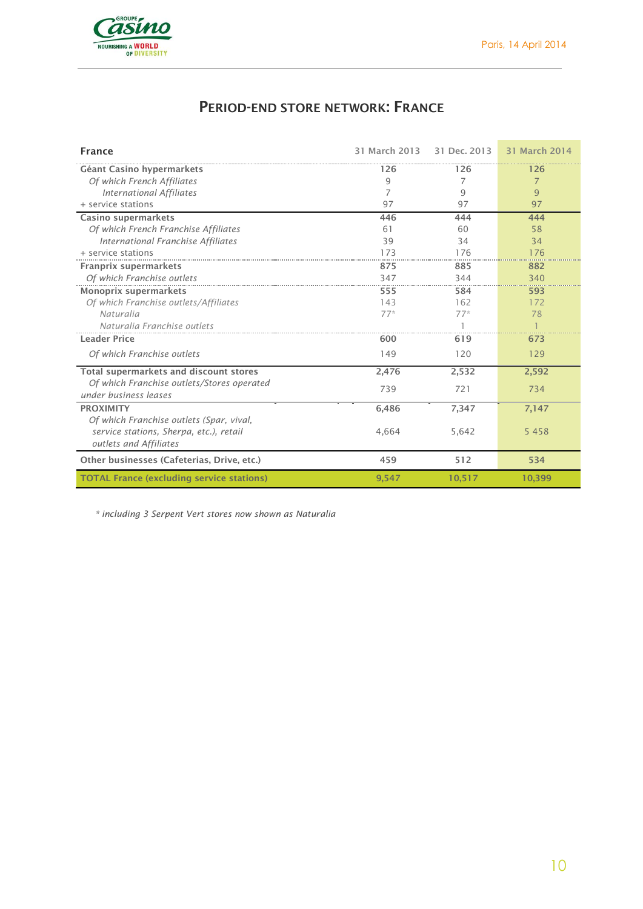

# **PERIOD-END STORE NETWORK: FRANCE**

| <b>France</b>                                                                                                 | 31 March 2013 | 31 Dec. 2013 | 31 March 2014  |
|---------------------------------------------------------------------------------------------------------------|---------------|--------------|----------------|
| Géant Casino hypermarkets                                                                                     | 126           | 126          | 126            |
| Of which French Affiliates                                                                                    | 9             | 7            | $\overline{7}$ |
| <b>International Affiliates</b>                                                                               | 7             | 9            | $\overline{9}$ |
| + service stations                                                                                            | 97            | 97           | 97             |
| Casino supermarkets                                                                                           | 446           | 444          | 444            |
| Of which French Franchise Affiliates                                                                          | 61            | 60           | 58             |
| <b>International Franchise Affiliates</b>                                                                     | 39            | 34           | 34             |
| + service stations                                                                                            | 173           | 176          | 176            |
| Franprix supermarkets                                                                                         | 875           | 885          | 882            |
| Of which Franchise outlets                                                                                    | 347           | 344          | 340            |
| Monoprix supermarkets                                                                                         | 555           | 584          | 593            |
| Of which Franchise outlets/Affiliates                                                                         | 143           | 162          | 172            |
| Naturalia                                                                                                     | $77*$         | $77*$        | 78             |
| Naturalia Franchise outlets                                                                                   |               |              |                |
| <b>Leader Price</b>                                                                                           | 600           | 619          | 673            |
| Of which Franchise outlets                                                                                    | 149           | 120          | 129            |
| Total supermarkets and discount stores                                                                        | 2,476         | 2,532        | 2,592          |
| Of which Franchise outlets/Stores operated<br>under business leases                                           | 739           | 721          | 734            |
| <b>PROXIMITY</b>                                                                                              | 6,486         | 7,347        | 7,147          |
| Of which Franchise outlets (Spar, vival,<br>service stations, Sherpa, etc.), retail<br>outlets and Affiliates | 4,664         | 5,642        | 5 4 5 8        |
| Other businesses (Cafeterias, Drive, etc.)                                                                    | 459           | 512          | 534            |
| <b>TOTAL France (excluding service stations)</b>                                                              | 9,547         | 10,517       | 10,399         |

*\* including 3 Serpent Vert stores now shown as Naturalia*